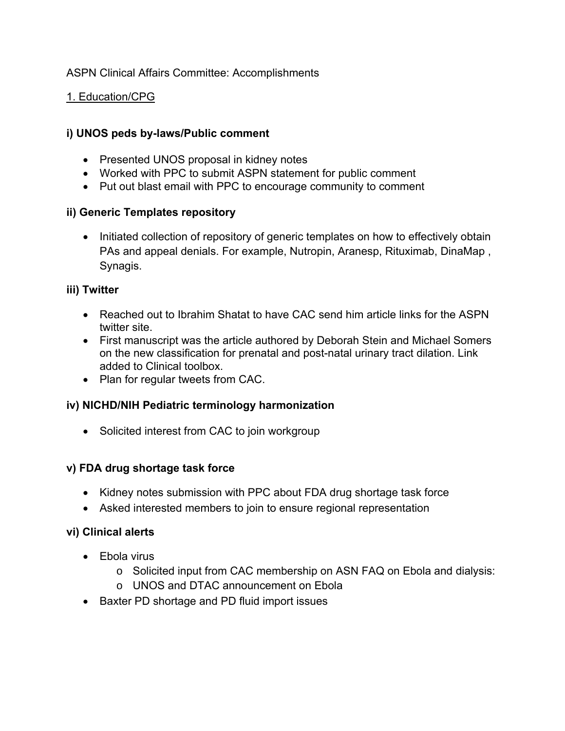# ASPN Clinical Affairs Committee: Accomplishments

# 1. Education/CPG

## **i) UNOS peds by-laws/Public comment**

- Presented UNOS proposal in kidney notes
- Worked with PPC to submit ASPN statement for public comment
- Put out blast email with PPC to encourage community to comment

#### **ii) Generic Templates repository**

• Initiated collection of repository of generic templates on how to effectively obtain PAs and appeal denials. For example, Nutropin, Aranesp, Rituximab, DinaMap , Synagis.

#### **iii) Twitter**

- Reached out to Ibrahim Shatat to have CAC send him article links for the ASPN twitter site.
- First manuscript was the article authored by Deborah Stein and Michael Somers on the new classification for prenatal and post-natal urinary tract dilation. Link added to Clinical toolbox.
- Plan for regular tweets from CAC.

## **iv) NICHD/NIH Pediatric terminology harmonization**

• Solicited interest from CAC to join workgroup

## **v) FDA drug shortage task force**

- Kidney notes submission with PPC about FDA drug shortage task force
- Asked interested members to join to ensure regional representation

#### **vi) Clinical alerts**

- Ebola virus
	- o Solicited input from CAC membership on ASN FAQ on Ebola and dialysis:
	- o UNOS and DTAC announcement on Ebola
- Baxter PD shortage and PD fluid import issues